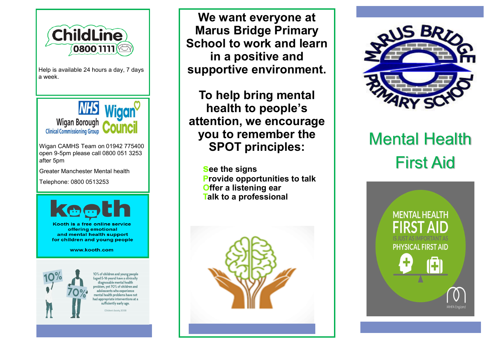

Help is available 24 hours a day, 7 days a week.



Wigan CAMHS Team on 01942 775400 open 9-5pm please call 0800 051 3253 after 5pm

Greater Manchester Mental health

Telephone: 0800 0513253



Kooth is a free online service offering emotional **and mental health support** for children and young people

www.kooth.com



10% of children and young people (aged 5-16 years) have a clinically diagnosable mental health problem.vet 70% of children and adolescents who experience mental health problems have not nad appropriate interventions at a sufficiently early age.

(Children's Society, 2008)

**We want everyone at Marus Bridge Primary School to work and learn in a positive and supportive environment.**

**To help bring mental health to people's attention, we encourage you to remember the SPOT principles:**

> **see the signs Provide opportunities to talk Offer a listening ear Talk to a professional**





# Mental Health First Aid